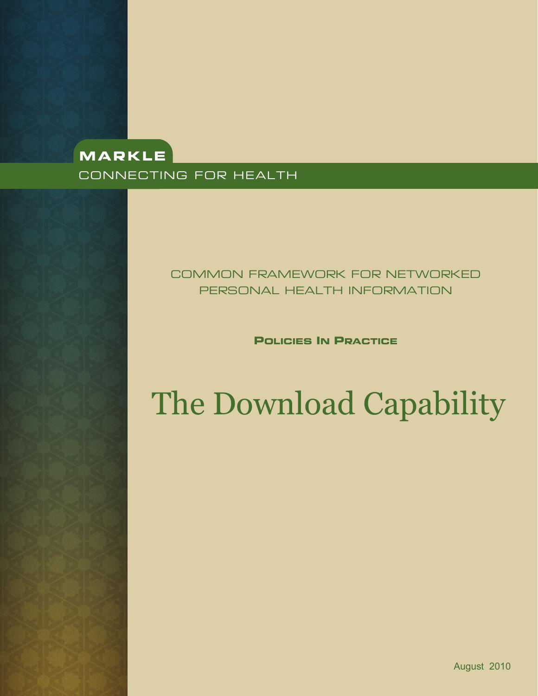# **MAR KLE** CONNECTING FOR HEALTH

## COMMON FRAMEWORK FOR NETWORKED PERSONAL HEALTH INFORMATION

**POLICIES IN PRACTICE**

# The Download Capability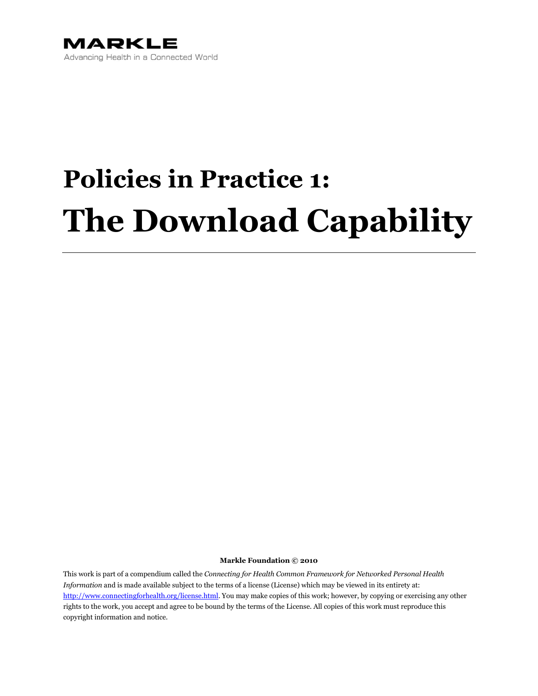

# **Policies in Practice 1: The Download Capability**

**Markle Foundation © 2010**

This work is part of a compendium called the *Connecting for Health Common Framework for Networked Personal Health Information* and is made available subject to the terms of a license (License) which may be viewed in its entirety at: [http://www.connectingforhealth.org/license.html.](http://www.connectingforhealth.org/license.html) You may make copies of this work; however, by copying or exercising any other rights to the work, you accept and agree to be bound by the terms of the License. All copies of this work must reproduce this copyright information and notice.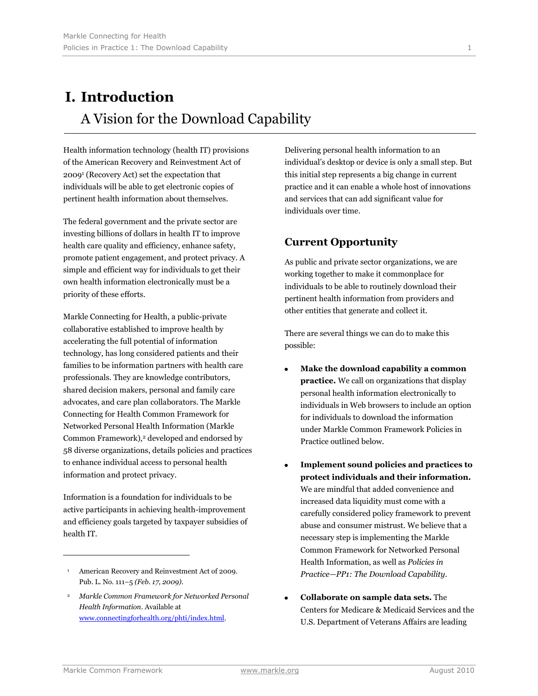# **I. Introduction**  A Vision for the Download Capability

Health information technology (health IT) provisions of the American Recovery and Reinvestment Act of 2009<sup>1</sup> (Recovery Act) set the expectation that individuals will be able to get electronic copies of pertinent health information about themselves.

The federal government and the private sector are investing billions of dollars in health IT to improve health care quality and efficiency, enhance safety, promote patient engagement, and protect privacy. A simple and efficient way for individuals to get their own health information electronically must be a priority of these efforts.

Markle Connecting for Health, a public-private collaborative established to improve health by accelerating the full potential of information technology, has long considered patients and their families to be information partners with health care professionals. They are knowledge contributors, shared decision makers, personal and family care advocates, and care plan collaborators. The Markle Connecting for Health Common Framework for Networked Personal Health Information (Markle Common Framework),<sup>2</sup> developed and endorsed by 58 diverse organizations, details policies and practices to enhance individual access to personal health information and protect privacy.

Information is a foundation for individuals to be active participants in achieving health-improvement and efficiency goals targeted by taxpayer subsidies of health IT.

Delivering personal health information to an individual's desktop or device is only a small step. But this initial step represents a big change in current practice and it can enable a whole host of innovations and services that can add significant value for individuals over time.

### **Current Opportunity**

As public and private sector organizations, we are working together to make it commonplace for individuals to be able to routinely download their pertinent health information from providers and other entities that generate and collect it.

There are several things we can do to make this possible:

- **Make the download capability a common practice.** We call on organizations that display personal health information electronically to individuals in Web browsers to include an option for individuals to download the information under Markle Common Framework Policies in Practice outlined below.
- **Implement sound policies and practices to protect individuals and their information.** We are mindful that added convenience and increased data liquidity must come with a carefully considered policy framework to prevent abuse and consumer mistrust. We believe that a necessary step is implementing the Markle Common Framework for Networked Personal Health Information, as well as *Policies in Practice—PP1: The Download Capability*.
- **Collaborate on sample data sets.** The Centers for Medicare & Medicaid Services and the U.S. Department of Veterans Affairs are leading

<sup>&</sup>lt;sup>1</sup> American Recovery and Reinvestment Act of 2009. Pub. L. No. 111–5 *(Feb. 17, 2009)*.

<sup>2</sup> *Markle Common Framework for Networked Personal Health Information*. Available at [www.connectingforhealth.org/phti/index.html.](http://www.connectingforhealth.org/phti/index.html)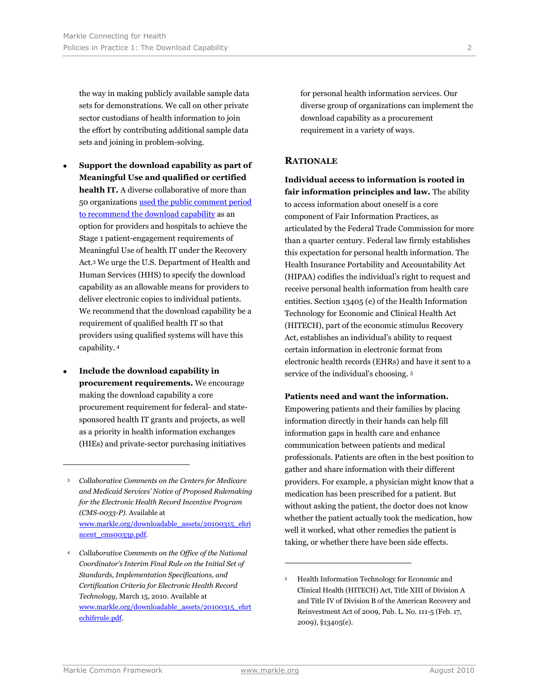the way in making publicly available sample data sets for demonstrations. We call on other private sector custodians of health information to join the effort by contributing additional sample data sets and joining in problem-solving.

- **Support the download capability as part of Meaningful Use and qualified or certified health IT.** A diverse collaborative of more than 50 organization[s used the public comment period](http://www.markle.org/downloadable_assets/20100315_ehrincent_cms0033p.pdf)  [to recommend the download capability](http://www.markle.org/downloadable_assets/20100315_ehrincent_cms0033p.pdf) as an option for providers and hospitals to achieve the Stage 1 patient-engagement requirements of Meaningful Use of health IT under the Recovery Act.<sup>3</sup> We urge the U.S. Department of Health and Human Services (HHS) to specify the download capability as an allowable means for providers to deliver electronic copies to individual patients. We recommend that the download capability be a requirement of qualified health IT so that providers using qualified systems will have this capability. <sup>4</sup>
- **Include the download capability in procurement requirements.** We encourage making the download capability a core procurement requirement for federal- and statesponsored health IT grants and projects, as well as a priority in health information exchanges (HIEs) and private-sector purchasing initiatives

for personal health information services. Our diverse group of organizations can implement the download capability as a procurement requirement in a variety of ways.

#### **RATIONALE**

**Individual access to information is rooted in fair information principles and law.** The ability to access information about oneself is a core component of Fair Information Practices, as articulated by the Federal Trade Commission for more than a quarter century. Federal law firmly establishes this expectation for personal health information. The Health Insurance Portability and Accountability Act (HIPAA) codifies the individual's right to request and receive personal health information from health care entities. Section 13405 (e) of the Health Information Technology for Economic and Clinical Health Act (HITECH), part of the economic stimulus Recovery Act, establishes an individual's ability to request certain information in electronic format from electronic health records (EHRs) and have it sent to a service of the individual's choosing. <sup>5</sup>

#### **Patients need and want the information.**

Empowering patients and their families by placing information directly in their hands can help fill information gaps in health care and enhance communication between patients and medical professionals. Patients are often in the best position to gather and share information with their different providers. For example, a physician might know that a medication has been prescribed for a patient. But without asking the patient, the doctor does not know whether the patient actually took the medication, how well it worked, what other remedies the patient is taking, or whether there have been side effects.

j

<sup>3</sup> *Collaborative Comments on the Centers for Medicare and Medicaid Services' Notice of Proposed Rulemaking for the Electronic Health Record Incentive Program (CMS-0033-P)*. Available at [www.markle.org/downloadable\\_assets/20100315\\_ehri](http://www.markle.org/downloadable_assets/20100315_ehrincent_cms0033p.pdf) [ncent\\_cms0033p.pdf.](http://www.markle.org/downloadable_assets/20100315_ehrincent_cms0033p.pdf)

<sup>4</sup> *Collaborative Comments on the Office of the National Coordinator's Interim Final Rule on the Initial Set of Standards, Implementation Specifications, and Certification Criteria for Electronic Health Record Technology,* March 15, 2010. Available at [www.markle.org/downloadable\\_assets/20100315\\_ehrt](http://www.markle.org/downloadable_assets/20100315_ehrtechifrrule.pdf) [echifrrule.pdf.](http://www.markle.org/downloadable_assets/20100315_ehrtechifrrule.pdf)

<sup>5</sup> Health Information Technology for Economic and Clinical Health (HITECH) Act, Title XIII of Division A and Title IV of Division B of the American Recovery and Reinvestment Act of 2009, Pub. L. No. 111-5 (Feb. 17, 2009), §13405(e).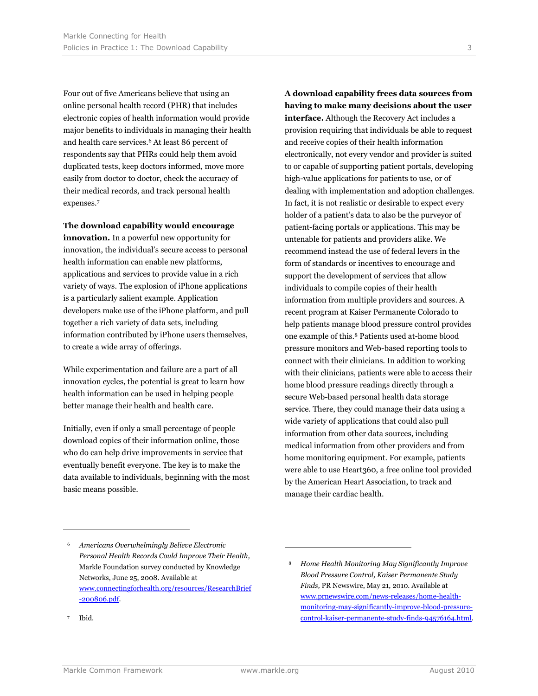Four out of five Americans believe that using an online personal health record (PHR) that includes electronic copies of health information would provide major benefits to individuals in managing their health and health care services.<sup>6</sup> At least 86 percent of respondents say that PHRs could help them avoid duplicated tests, keep doctors informed, move more easily from doctor to doctor, check the accuracy of their medical records, and track personal health expenses.<sup>7</sup>

#### **The download capability would encourage**

**innovation.** In a powerful new opportunity for innovation, the individual's secure access to personal health information can enable new platforms, applications and services to provide value in a rich variety of ways. The explosion of iPhone applications is a particularly salient example. Application developers make use of the iPhone platform, and pull together a rich variety of data sets, including information contributed by iPhone users themselves, to create a wide array of offerings.

While experimentation and failure are a part of all innovation cycles, the potential is great to learn how health information can be used in helping people better manage their health and health care.

Initially, even if only a small percentage of people download copies of their information online, those who do can help drive improvements in service that eventually benefit everyone. The key is to make the data available to individuals, beginning with the most basic means possible.

**A download capability frees data sources from having to make many decisions about the user interface.** Although the Recovery Act includes a provision requiring that individuals be able to request and receive copies of their health information electronically, not every vendor and provider is suited to or capable of supporting patient portals, developing high-value applications for patients to use, or of dealing with implementation and adoption challenges. In fact, it is not realistic or desirable to expect every holder of a patient's data to also be the purveyor of patient-facing portals or applications. This may be untenable for patients and providers alike. We recommend instead the use of federal levers in the form of standards or incentives to encourage and support the development of services that allow individuals to compile copies of their health information from multiple providers and sources. A recent program at Kaiser Permanente Colorado to help patients manage blood pressure control provides one example of this.<sup>8</sup> Patients used at-home blood pressure monitors and Web-based reporting tools to connect with their clinicians. In addition to working with their clinicians, patients were able to access their home blood pressure readings directly through a secure Web-based personal health data storage service. There, they could manage their data using a wide variety of applications that could also pull information from other data sources, including medical information from other providers and from home monitoring equipment. For example, patients were able to use Heart360, a free online tool provided by the American Heart Association, to track and manage their cardiac health.

j

<sup>6</sup> *Americans Overwhelmingly Believe Electronic Personal Health Records Could Improve Their Health,*  Markle Foundation survey conducted by Knowledge Networks, June 25, 2008. Available at [www.connectingforhealth.org/resources/ResearchBrief](http://www.connectingforhealth.org/resources/ResearchBrief-200806.pdf) [-200806.pdf.](http://www.connectingforhealth.org/resources/ResearchBrief-200806.pdf)

<sup>8</sup> *Home Health Monitoring May Significantly Improve Blood Pressure Control, Kaiser Permanente Study Finds,* PR Newswire, May 21, 2010. Available at [www.prnewswire.com/news-releases/home-health](http://www.prnewswire.com/news-releases/home-health-monitoring-may-significantly-improve-blood-pressure-control-kaiser-permanente-study-finds-94576164.html)[monitoring-may-significantly-improve-blood-pressure](http://www.prnewswire.com/news-releases/home-health-monitoring-may-significantly-improve-blood-pressure-control-kaiser-permanente-study-finds-94576164.html)[control-kaiser-permanente-study-finds-94576164.html.](http://www.prnewswire.com/news-releases/home-health-monitoring-may-significantly-improve-blood-pressure-control-kaiser-permanente-study-finds-94576164.html)

<sup>7</sup> Ibid.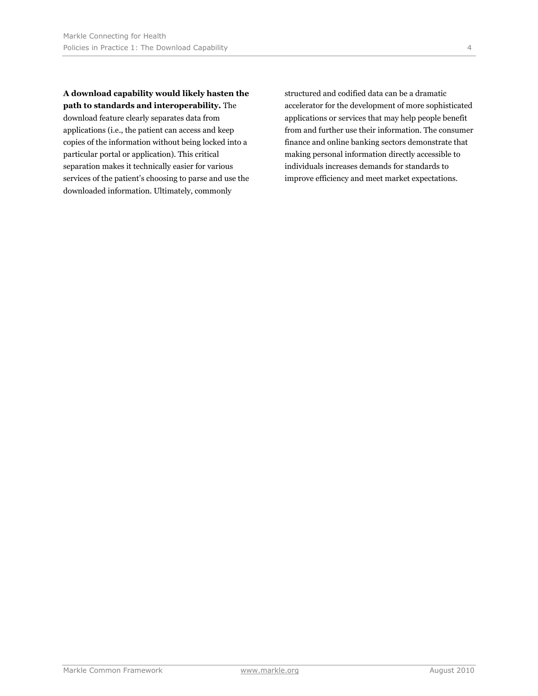**A download capability would likely hasten the path to standards and interoperability.** The

download feature clearly separates data from applications (i.e., the patient can access and keep copies of the information without being locked into a particular portal or application). This critical separation makes it technically easier for various services of the patient's choosing to parse and use the downloaded information. Ultimately, commonly

structured and codified data can be a dramatic accelerator for the development of more sophisticated applications or services that may help people benefit from and further use their information. The consumer finance and online banking sectors demonstrate that making personal information directly accessible to individuals increases demands for standards to improve efficiency and meet market expectations.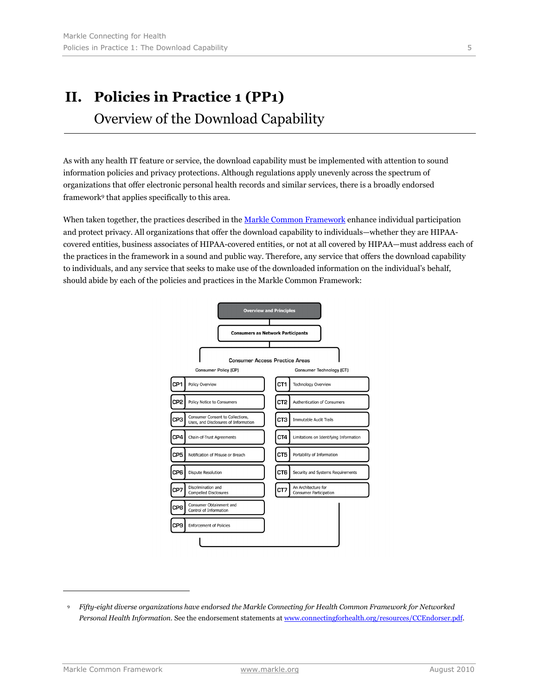# **II. Policies in Practice 1 (PP1)** Overview of the Download Capability

As with any health IT feature or service, the download capability must be implemented with attention to sound information policies and privacy protections. Although regulations apply unevenly across the spectrum of organizations that offer electronic personal health records and similar services, there is a broadly endorsed framework<sup>9</sup> that applies specifically to this area.

When taken together, the practices described in the [Markle Common Framework](http://www.connectingforhealth.org/phti/index.html) enhance individual participation and protect privacy. All organizations that offer the download capability to individuals—whether they are HIPAAcovered entities, business associates of HIPAA-covered entities, or not at all covered by HIPAA—must address each of the practices in the framework in a sound and public way. Therefore, any service that offers the download capability to individuals, and any service that seeks to make use of the downloaded information on the individual's behalf, should abide by each of the policies and practices in the Markle Common Framework:



<sup>9</sup> *Fifty-eight diverse organizations have endorsed the Markle Connecting for Health Common Framework for Networked Personal Health Information.* See the endorsement statements a[t www.connectingforhealth.org/resources/CCEndorser.pdf.](http://www.connectingforhealth.org/resources/CCEndorser.pdf)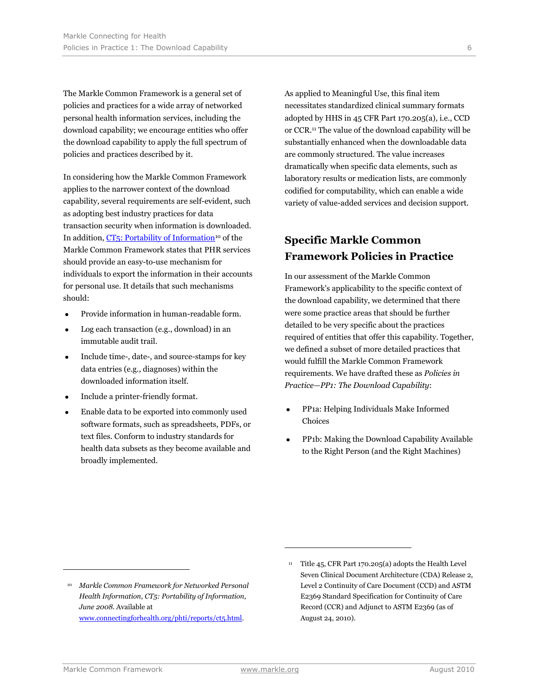The Markle Common Framework is a general set of policies and practices for a wide array of networked personal health information services, including the download capability; we encourage entities who offer the download capability to apply the full spectrum of policies and practices described by it.

In considering how the Markle Common Framework applies to the narrower context of the download capability, several requirements are self-evident, such as adopting best industry practices for data transaction security when information is downloaded. In addition,  $CT_5$ : Portability of Information<sup>10</sup> of the Markle Common Framework states that PHR services should provide an easy-to-use mechanism for individuals to export the information in their accounts for personal use. It details that such mechanisms should:

- Provide information in human-readable form.
- Log each transaction (e.g., download) in an immutable audit trail.
- Include time-, date-, and source-stamps for key data entries (e.g., diagnoses) within the downloaded information itself.
- Include a printer-friendly format.
- Enable data to be exported into commonly used software formats, such as spreadsheets, PDFs, or text files. Conform to industry standards for health data subsets as they become available and broadly implemented.

As applied to Meaningful Use, this final item necessitates standardized clinical summary formats adopted by HHS in 45 CFR Part 170.205(a), i.e., CCD or CCR. <sup>11</sup> The value of the download capability will be substantially enhanced when the downloadable data are commonly structured. The value increases dramatically when specific data elements, such as laboratory results or medication lists, are commonly codified for computability, which can enable a wide variety of value-added services and decision support.

### **Specific Markle Common Framework Policies in Practice**

In our assessment of the Markle Common Framework's applicability to the specific context of the download capability, we determined that there were some practice areas that should be further detailed to be very specific about the practices required of entities that offer this capability. Together, we defined a subset of more detailed practices that would fulfill the Markle Common Framework requirements. We have drafted these as *Policies in Practice—PP1: The Download Capability*:

- PP1a: Helping Individuals Make Informed Choices
- PP1b: Making the Download Capability Available to the Right Person (and the Right Machines)

j

<sup>10</sup> *Markle Common Framework for Networked Personal Health Information, CT5: Portability of Information, June 2008*. Available at [www.connectingforhealth.org/phti/reports/ct5.html.](http://www.connectingforhealth.org/phti/reports/ct5.html)

<sup>&</sup>lt;sup>11</sup> Title 45, CFR Part 170.205(a) adopts the Health Level Seven Clinical Document Architecture (CDA) Release 2, Level 2 Continuity of Care Document (CCD) and ASTM E2369 Standard Specification for Continuity of Care Record (CCR) and Adjunct to ASTM E2369 (as of August 24, 2010).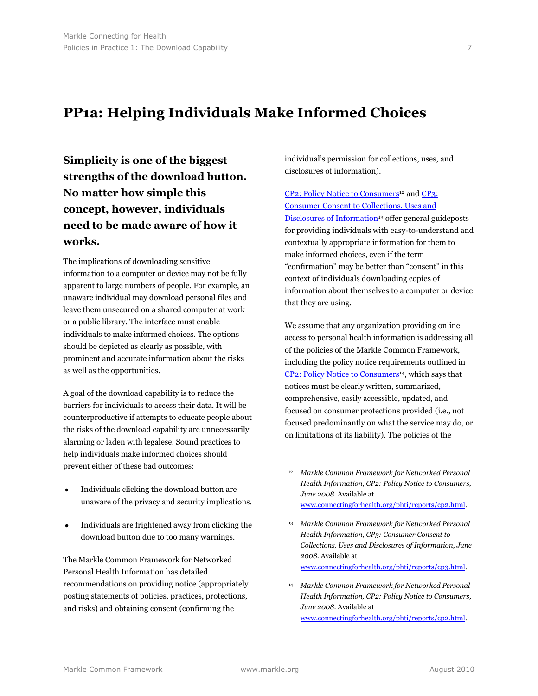## **PP1a: Helping Individuals Make Informed Choices**

**Simplicity is one of the biggest strengths of the download button. No matter how simple this concept, however, individuals need to be made aware of how it works.** 

The implications of downloading sensitive information to a computer or device may not be fully apparent to large numbers of people. For example, an unaware individual may download personal files and leave them unsecured on a shared computer at work or a public library. The interface must enable individuals to make informed choices. The options should be depicted as clearly as possible, with prominent and accurate information about the risks as well as the opportunities.

A goal of the download capability is to reduce the barriers for individuals to access their data. It will be counterproductive if attempts to educate people about the risks of the download capability are unnecessarily alarming or laden with legalese. Sound practices to help individuals make informed choices should prevent either of these bad outcomes:

- Individuals clicking the download button are unaware of the privacy and security implications.
- Individuals are frightened away from clicking the download button due to too many warnings.

The Markle Common Framework for Networked Personal Health Information has detailed recommendations on providing notice (appropriately posting statements of policies, practices, protections, and risks) and obtaining consent (confirming the

individual's permission for collections, uses, and disclosures of information).

[CP2: Policy Notice to Consumers](http://www.connectingforhealth.org/phti/reports/cp2.html)<sup>12</sup> and CP3: [Consumer Consent to Collections, Uses and](http://www.connectingforhealth.org/phti/reports/cp3.html)  [Disclosures of Information](http://www.connectingforhealth.org/phti/reports/cp3.html)<sup>13</sup> offer general guideposts for providing individuals with easy-to-understand and contextually appropriate information for them to make informed choices, even if the term ―confirmation‖ may be better than ―consent‖ in this context of individuals downloading copies of information about themselves to a computer or device that they are using.

We assume that any organization providing online access to personal health information is addressing all of the policies of the Markle Common Framework, including the policy notice requirements outlined in [CP2: Policy Notice to Consumers](http://www.connectingforhealth.org/phti/reports/cp2.html)<sup>14</sup>, which says that notices must be clearly written, summarized, comprehensive, easily accessible, updated, and focused on consumer protections provided (i.e., not focused predominantly on what the service may do, or on limitations of its liability). The policies of the

<sup>12</sup> *Markle Common Framework for Networked Personal Health Information, CP2: Policy Notice to Consumers, June 2008*. Available at [www.connectingforhealth.org/phti/reports/cp2.html.](http://www.connectingforhealth.org/phti/reports/cp2.html)

<sup>13</sup> *Markle Common Framework for Networked Personal Health Information, CP3: Consumer Consent to Collections, Uses and Disclosures of Information, June 2008*. Available at [www.connectingforhealth.org/phti/reports/cp3.html.](http://www.connectingforhealth.org/phti/reports/cp3.html)

<sup>14</sup> *Markle Common Framework for Networked Personal Health Information, CP2: Policy Notice to Consumers, June 2008*. Available at [www.connectingforhealth.org/phti/reports/cp2.html.](http://www.connectingforhealth.org/phti/reports/cp2.html)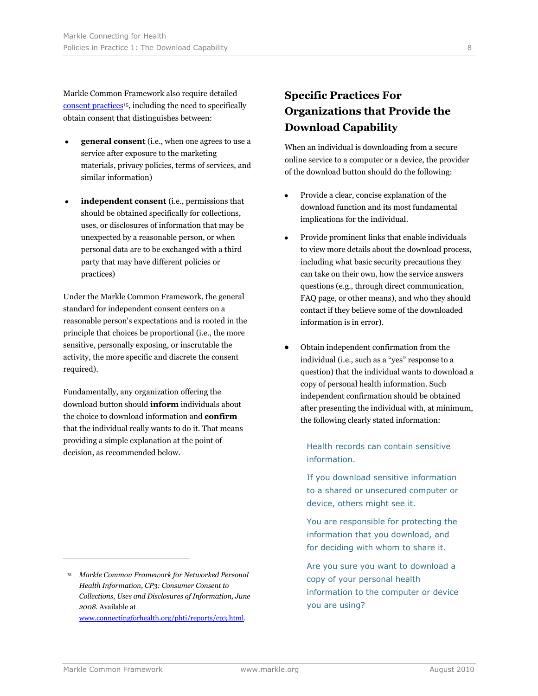Markle Common Framework also require detailed [consent practices](http://www.connectingforhealth.org/phti/reports/cp3.html)<sup>15</sup>, including the need to specifically obtain consent that distinguishes between:

- **general consent** (i.e., when one agrees to use a service after exposure to the marketing materials, privacy policies, terms of services, and similar information)
- **independent consent** (i.e., permissions that should be obtained specifically for collections, uses, or disclosures of information that may be unexpected by a reasonable person, or when personal data are to be exchanged with a third party that may have different policies or practices)

Under the Markle Common Framework, the general standard for independent consent centers on a reasonable person's expectations and is rooted in the principle that choices be proportional (i.e., the more sensitive, personally exposing, or inscrutable the activity, the more specific and discrete the consent required).

Fundamentally, any organization offering the download button should **inform** individuals about the choice to download information and **confirm** that the individual really wants to do it. That means providing a simple explanation at the point of decision, as recommended below.

## **Specific Practices For Organizations that Provide the Download Capability**

When an individual is downloading from a secure online service to a computer or a device, the provider of the download button should do the following:

- Provide a clear, concise explanation of the download function and its most fundamental implications for the individual.
- Provide prominent links that enable individuals  $\bullet$ to view more details about the download process, including what basic security precautions they can take on their own, how the service answers questions (e.g., through direct communication, FAQ page, or other means), and who they should contact if they believe some of the downloaded information is in error).
- Obtain independent confirmation from the  $\bullet$ individual (i.e., such as a "yes" response to a question) that the individual wants to download a copy of personal health information. Such independent confirmation should be obtained after presenting the individual with, at minimum, the following clearly stated information:

#### Health records can contain sensitive information.

If you download sensitive information to a shared or unsecured computer or device, others might see it.

You are responsible for protecting the information that you download, and for deciding with whom to share it.

Are you sure you want to download a copy of your personal health information to the computer or device you are using?

<sup>15</sup> *Markle Common Framework for Networked Personal Health Information, CP3: Consumer Consent to Collections, Uses and Disclosures of Information, June 2008*. Available at [www.connectingforhealth.org/phti/reports/cp3.html.](http://www.connectingforhealth.org/phti/reports/cp3.html)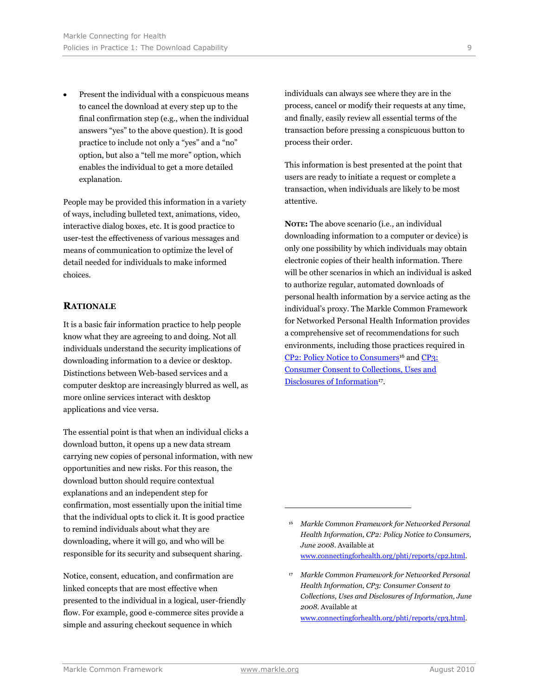Present the individual with a conspicuous means to cancel the download at every step up to the final confirmation step (e.g., when the individual answers "yes" to the above question). It is good practice to include not only a "yes" and a "no" option, but also a "tell me more" option, which enables the individual to get a more detailed explanation.

People may be provided this information in a variety of ways, including bulleted text, animations, video, interactive dialog boxes, etc. It is good practice to user-test the effectiveness of various messages and means of communication to optimize the level of detail needed for individuals to make informed choices.

#### **RATIONALE**

It is a basic fair information practice to help people know what they are agreeing to and doing. Not all individuals understand the security implications of downloading information to a device or desktop. Distinctions between Web-based services and a computer desktop are increasingly blurred as well, as more online services interact with desktop applications and vice versa.

The essential point is that when an individual clicks a download button, it opens up a new data stream carrying new copies of personal information, with new opportunities and new risks. For this reason, the download button should require contextual explanations and an independent step for confirmation, most essentially upon the initial time that the individual opts to click it. It is good practice to remind individuals about what they are downloading, where it will go, and who will be responsible for its security and subsequent sharing.

Notice, consent, education, and confirmation are linked concepts that are most effective when presented to the individual in a logical, user-friendly flow. For example, good e-commerce sites provide a simple and assuring checkout sequence in which

individuals can always see where they are in the process, cancel or modify their requests at any time, and finally, easily review all essential terms of the transaction before pressing a conspicuous button to process their order.

This information is best presented at the point that users are ready to initiate a request or complete a transaction, when individuals are likely to be most attentive.

**NOTE:** The above scenario (i.e., an individual downloading information to a computer or device) is only one possibility by which individuals may obtain electronic copies of their health information. There will be other scenarios in which an individual is asked to authorize regular, automated downloads of personal health information by a service acting as the individual's proxy. The Markle Common Framework for Networked Personal Health Information provides a comprehensive set of recommendations for such environments, including those practices required in [CP2: Policy Notice to Consumers](http://www.connectingforhealth.org/phti/reports/cp2.html)<sup>16</sup> and CP3: [Consumer Consent to Collections, Uses and](http://www.connectingforhealth.org/phti/reports/cp3.html)  [Disclosures of Information](http://www.connectingforhealth.org/phti/reports/cp3.html)<sup>17</sup>.

<sup>16</sup> *Markle Common Framework for Networked Personal Health Information, CP2: Policy Notice to Consumers, June 2008*. Available at [www.connectingforhealth.org/phti/reports/cp2.html.](http://www.connectingforhealth.org/phti/reports/cp2.html)

<sup>17</sup> *Markle Common Framework for Networked Personal Health Information, CP3: Consumer Consent to Collections, Uses and Disclosures of Information, June 2008*. Available at [www.connectingforhealth.org/phti/reports/cp3.html.](http://www.connectingforhealth.org/phti/reports/cp3.html)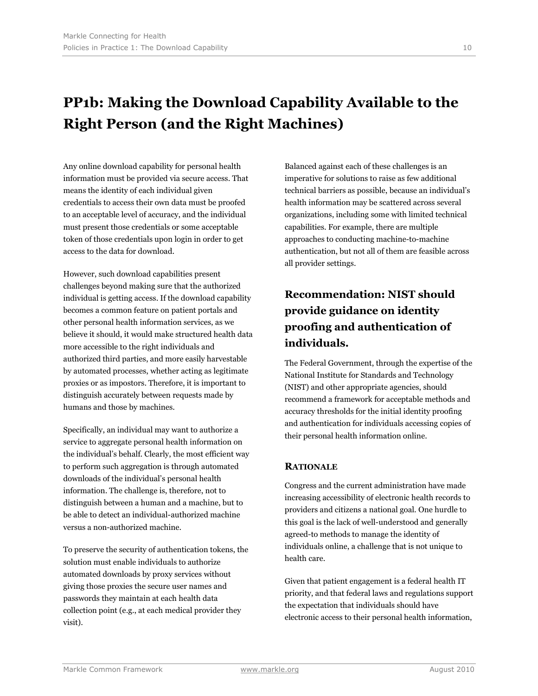# **PP1b: Making the Download Capability Available to the Right Person (and the Right Machines)**

Any online download capability for personal health information must be provided via secure access. That means the identity of each individual given credentials to access their own data must be proofed to an acceptable level of accuracy, and the individual must present those credentials or some acceptable token of those credentials upon login in order to get access to the data for download.

However, such download capabilities present challenges beyond making sure that the authorized individual is getting access. If the download capability becomes a common feature on patient portals and other personal health information services, as we believe it should, it would make structured health data more accessible to the right individuals and authorized third parties, and more easily harvestable by automated processes, whether acting as legitimate proxies or as impostors. Therefore, it is important to distinguish accurately between requests made by humans and those by machines.

Specifically, an individual may want to authorize a service to aggregate personal health information on the individual's behalf. Clearly, the most efficient way to perform such aggregation is through automated downloads of the individual's personal health information. The challenge is, therefore, not to distinguish between a human and a machine, but to be able to detect an individual-authorized machine versus a non-authorized machine.

To preserve the security of authentication tokens, the solution must enable individuals to authorize automated downloads by proxy services without giving those proxies the secure user names and passwords they maintain at each health data collection point (e.g., at each medical provider they visit).

Balanced against each of these challenges is an imperative for solutions to raise as few additional technical barriers as possible, because an individual's health information may be scattered across several organizations, including some with limited technical capabilities. For example, there are multiple approaches to conducting machine-to-machine authentication, but not all of them are feasible across all provider settings.

## **Recommendation: NIST should provide guidance on identity proofing and authentication of individuals.**

The Federal Government, through the expertise of the National Institute for Standards and Technology (NIST) and other appropriate agencies, should recommend a framework for acceptable methods and accuracy thresholds for the initial identity proofing and authentication for individuals accessing copies of their personal health information online.

#### **RATIONALE**

Congress and the current administration have made increasing accessibility of electronic health records to providers and citizens a national goal. One hurdle to this goal is the lack of well-understood and generally agreed-to methods to manage the identity of individuals online, a challenge that is not unique to health care.

Given that patient engagement is a federal health IT priority, and that federal laws and regulations support the expectation that individuals should have electronic access to their personal health information,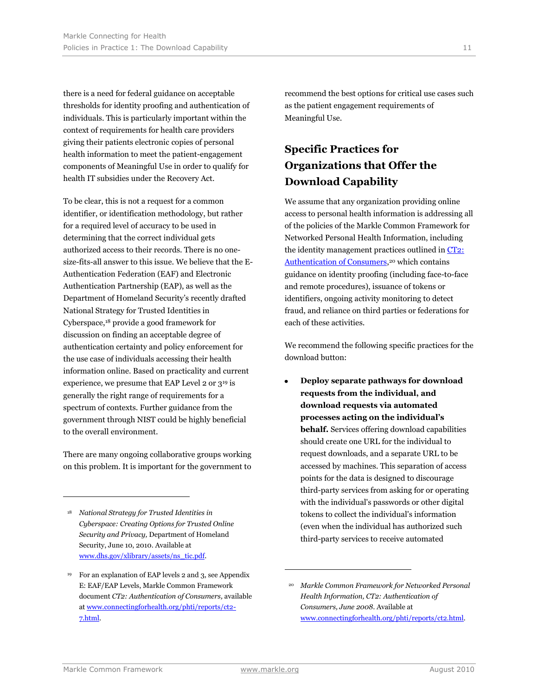there is a need for federal guidance on acceptable thresholds for identity proofing and authentication of individuals. This is particularly important within the context of requirements for health care providers giving their patients electronic copies of personal health information to meet the patient-engagement components of Meaningful Use in order to qualify for health IT subsidies under the Recovery Act.

To be clear, this is not a request for a common identifier, or identification methodology, but rather for a required level of accuracy to be used in determining that the correct individual gets authorized access to their records. There is no onesize-fits-all answer to this issue. We believe that the E-Authentication Federation (EAF) and Electronic Authentication Partnership (EAP), as well as the Department of Homeland Security's recently drafted National Strategy for Trusted Identities in Cyberspace,<sup>18</sup> provide a good framework for discussion on finding an acceptable degree of authentication certainty and policy enforcement for the use case of individuals accessing their health information online. Based on practicality and current experience, we presume that EAP Level 2 or 3<sup>19</sup> is generally the right range of requirements for a spectrum of contexts. Further guidance from the government through NIST could be highly beneficial to the overall environment.

There are many ongoing collaborative groups working on this problem. It is important for the government to

<sup>18</sup> *National Strategy for Trusted Identities in Cyberspace: Creating Options for Trusted Online Security and Privacy,* Department of Homeland Security, June 10, 2010. Available at [www.dhs.gov/xlibrary/assets/ns\\_tic.pdf.](http://www.dhs.gov/xlibrary/assets/ns_tic.pdf)

recommend the best options for critical use cases such as the patient engagement requirements of Meaningful Use.

## **Specific Practices for Organizations that Offer the Download Capability**

We assume that any organization providing online access to personal health information is addressing all of the policies of the Markle Common Framework for Networked Personal Health Information, including the identity management practices outlined in CT2: [Authentication of Consumers,](http://www.connectingforhealth.org/phti/reports/ct2.html) <sup>20</sup> which contains guidance on identity proofing (including face-to-face and remote procedures), issuance of tokens or identifiers, ongoing activity monitoring to detect fraud, and reliance on third parties or federations for each of these activities.

We recommend the following specific practices for the download button:

**Deploy separate pathways for download requests from the individual, and download requests via automated processes acting on the individual's behalf.** Services offering download capabilities should create one URL for the individual to request downloads, and a separate URL to be accessed by machines. This separation of access points for the data is designed to discourage third-party services from asking for or operating with the individual's passwords or other digital tokens to collect the individual's information (even when the individual has authorized such third-party services to receive automated

 $\overline{a}$ 

j

<sup>19</sup> For an explanation of EAP levels 2 and 3, see Appendix E: EAF/EAP Levels, Markle Common Framework document *CT2: Authentication of Consumers,* available a[t www.connectingforhealth.org/phti/reports/ct2-](http://www.connectingforhealth.org/phti/reports/ct2-7.html) [7.html.](http://www.connectingforhealth.org/phti/reports/ct2-7.html)

<sup>20</sup> *Markle Common Framework for Networked Personal Health Information, CT2: Authentication of Consumers, June 2008*. Available at [www.connectingforhealth.org/phti/reports/ct2.html.](http://www.connectingforhealth.org/phti/reports/ct2.html)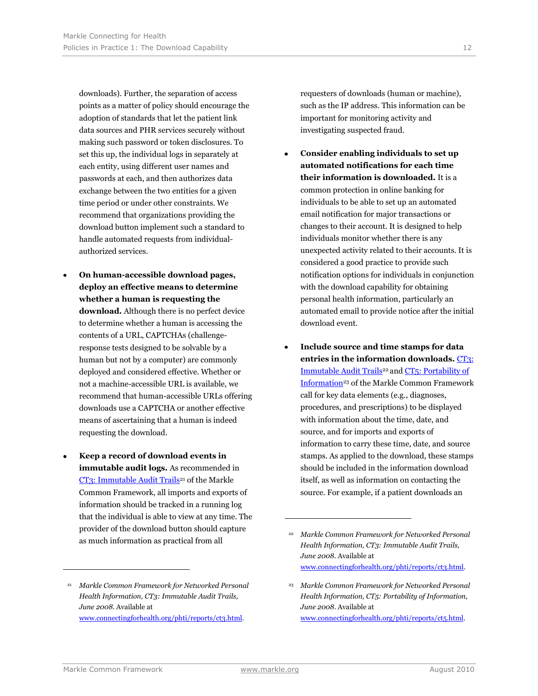downloads). Further, the separation of access points as a matter of policy should encourage the adoption of standards that let the patient link data sources and PHR services securely without making such password or token disclosures. To set this up, the individual logs in separately at each entity, using different user names and passwords at each, and then authorizes data exchange between the two entities for a given time period or under other constraints. We recommend that organizations providing the download button implement such a standard to handle automated requests from individualauthorized services.

- **On human-accessible download pages, deploy an effective means to determine whether a human is requesting the download.** Although there is no perfect device to determine whether a human is accessing the contents of a URL, CAPTCHAs (challengeresponse tests designed to be solvable by a human but not by a computer) are commonly deployed and considered effective. Whether or not a machine-accessible URL is available, we recommend that human-accessible URLs offering downloads use a CAPTCHA or another effective means of ascertaining that a human is indeed requesting the download.
- **Keep a record of download events in immutable audit logs.** As recommended in [CT3: Immutable Audit Trails](http://www.connectingforhealth.org/phti/reports/ct3.html)<sup>21</sup> of the Markle Common Framework, all imports and exports of information should be tracked in a running log that the individual is able to view at any time. The provider of the download button should capture as much information as practical from all

requesters of downloads (human or machine), such as the IP address. This information can be important for monitoring activity and investigating suspected fraud.

- $\bullet$ **Consider enabling individuals to set up automated notifications for each time their information is downloaded.** It is a common protection in online banking for individuals to be able to set up an automated email notification for major transactions or changes to their account. It is designed to help individuals monitor whether there is any unexpected activity related to their accounts. It is considered a good practice to provide such notification options for individuals in conjunction with the download capability for obtaining personal health information, particularly an automated email to provide notice after the initial download event.
- **Include source and time stamps for data**   $\bullet$ entries in the information downloads. **CT3:** [Immutable Audit Trails](http://www.connectingforhealth.org/phti/reports/ct3.html)<sup>22</sup> and CT<sub>5</sub>: Portability of [Information](http://www.connectingforhealth.org/phti/reports/ct5.html)<sup>23</sup> of the Markle Common Framework call for key data elements (e.g., diagnoses, procedures, and prescriptions) to be displayed with information about the time, date, and source, and for imports and exports of information to carry these time, date, and source stamps. As applied to the download, these stamps should be included in the information download itself, as well as information on contacting the source. For example, if a patient downloads an

j

<sup>21</sup> *Markle Common Framework for Networked Personal Health Information, CT3: Immutable Audit Trails, June 2008*. Available at [www.connectingforhealth.org/phti/reports/ct3.html.](http://www.connectingforhealth.org/phti/reports/ct3.html)

<sup>22</sup> *Markle Common Framework for Networked Personal Health Information, CT3: Immutable Audit Trails, June 2008*. Available at [www.connectingforhealth.org/phti/reports/ct3.html.](http://www.connectingforhealth.org/phti/reports/ct3.html)

<sup>23</sup> *Markle Common Framework for Networked Personal Health Information, CT5: Portability of Information, June 2008*. Available at [www.connectingforhealth.org/phti/reports/ct5.html.](http://www.connectingforhealth.org/phti/reports/ct5.html)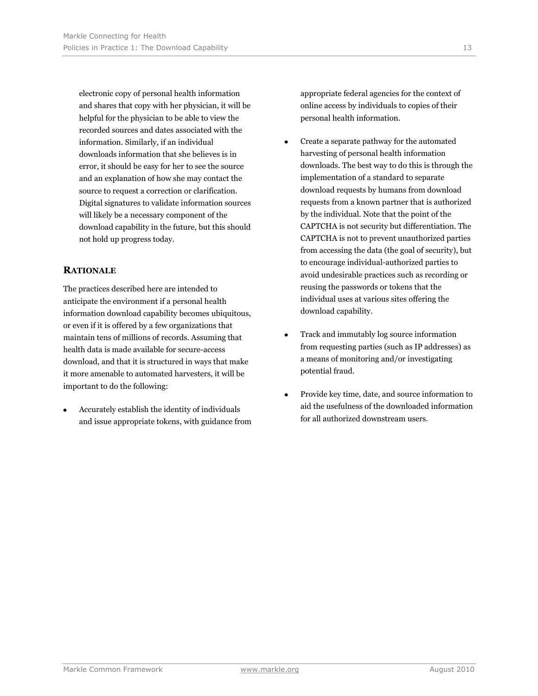electronic copy of personal health information and shares that copy with her physician, it will be helpful for the physician to be able to view the recorded sources and dates associated with the information. Similarly, if an individual downloads information that she believes is in error, it should be easy for her to see the source and an explanation of how she may contact the source to request a correction or clarification. Digital signatures to validate information sources will likely be a necessary component of the download capability in the future, but this should not hold up progress today.

#### **RATIONALE**

The practices described here are intended to anticipate the environment if a personal health information download capability becomes ubiquitous, or even if it is offered by a few organizations that maintain tens of millions of records. Assuming that health data is made available for secure-access download, and that it is structured in ways that make it more amenable to automated harvesters, it will be important to do the following:

Accurately establish the identity of individuals and issue appropriate tokens, with guidance from appropriate federal agencies for the context of online access by individuals to copies of their personal health information.

- Create a separate pathway for the automated harvesting of personal health information downloads. The best way to do this is through the implementation of a standard to separate download requests by humans from download requests from a known partner that is authorized by the individual. Note that the point of the CAPTCHA is not security but differentiation. The CAPTCHA is not to prevent unauthorized parties from accessing the data (the goal of security), but to encourage individual-authorized parties to avoid undesirable practices such as recording or reusing the passwords or tokens that the individual uses at various sites offering the download capability.
- $\bullet$ Track and immutably log source information from requesting parties (such as IP addresses) as a means of monitoring and/or investigating potential fraud.
- Provide key time, date, and source information to  $\bullet$ aid the usefulness of the downloaded information for all authorized downstream users.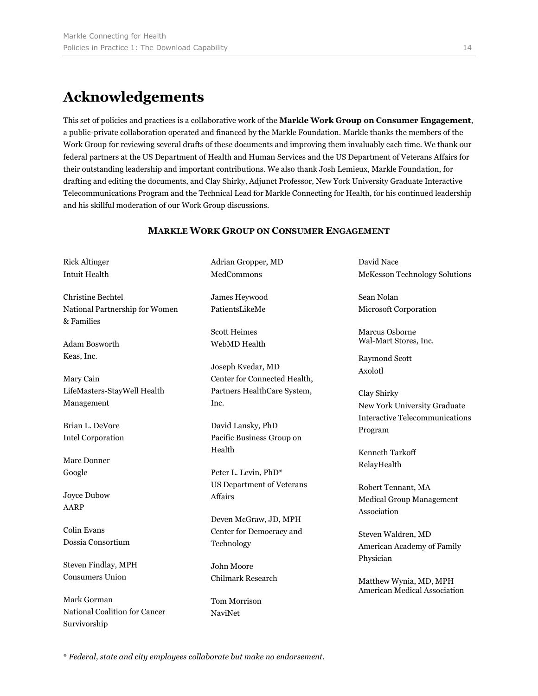# **Acknowledgements**

Mark Gorman

Survivorship

National Coalition for Cancer

This set of policies and practices is a collaborative work of the **Markle Work Group on Consumer Engagement**, a public-private collaboration operated and financed by the Markle Foundation. Markle thanks the members of the Work Group for reviewing several drafts of these documents and improving them invaluably each time. We thank our federal partners at the US Department of Health and Human Services and the US Department of Veterans Affairs for their outstanding leadership and important contributions. We also thank Josh Lemieux, Markle Foundation, for drafting and editing the documents, and Clay Shirky, Adjunct Professor, New York University Graduate Interactive Telecommunications Program and the Technical Lead for Markle Connecting for Health, for his continued leadership and his skillful moderation of our Work Group discussions.

| <b>Rick Altinger</b>           | Adrian Gropper, MD               | David Nace                                                    |
|--------------------------------|----------------------------------|---------------------------------------------------------------|
| Intuit Health                  | MedCommons                       | <b>McKesson Technology Solutions</b>                          |
| <b>Christine Bechtel</b>       | James Heywood                    | Sean Nolan                                                    |
| National Partnership for Women | PatientsLikeMe                   | Microsoft Corporation                                         |
| & Families                     |                                  |                                                               |
|                                | <b>Scott Heimes</b>              | <b>Marcus Osborne</b>                                         |
| Adam Bosworth                  | WebMD Health                     | Wal-Mart Stores, Inc.                                         |
| Keas, Inc.                     |                                  | Raymond Scott                                                 |
|                                | Joseph Kvedar, MD                | Axolotl                                                       |
| Mary Cain                      | Center for Connected Health,     |                                                               |
| LifeMasters-StayWell Health    | Partners HealthCare System,      | Clay Shirky                                                   |
| Management                     | Inc.                             | New York University Graduate                                  |
|                                |                                  | <b>Interactive Telecommunications</b>                         |
| Brian L. DeVore                | David Lansky, PhD                | Program                                                       |
| <b>Intel Corporation</b>       | Pacific Business Group on        |                                                               |
|                                | Health                           | <b>Kenneth Tarkoff</b>                                        |
| <b>Marc Donner</b><br>Google   |                                  | RelayHealth                                                   |
|                                | Peter L. Levin, PhD*             |                                                               |
|                                | <b>US Department of Veterans</b> | Robert Tennant, MA                                            |
| Joyce Dubow<br><b>AARP</b>     | Affairs                          | <b>Medical Group Management</b>                               |
|                                | Deven McGraw, JD, MPH            | Association                                                   |
| <b>Colin Evans</b>             | Center for Democracy and         |                                                               |
| Dossia Consortium              | Technology                       | Steven Waldren, MD                                            |
|                                |                                  | American Academy of Family                                    |
| Steven Findlay, MPH            | John Moore                       | Physician                                                     |
| <b>Consumers Union</b>         | <b>Chilmark Research</b>         | Matthew Wynia, MD, MPH<br><b>American Medical Association</b> |

#### **MARKLE WORK GROUP ON CONSUMER ENGAGEMENT**

\* *Federal, state and city employees collaborate but make no endorsement*.

Tom Morrison NaviNet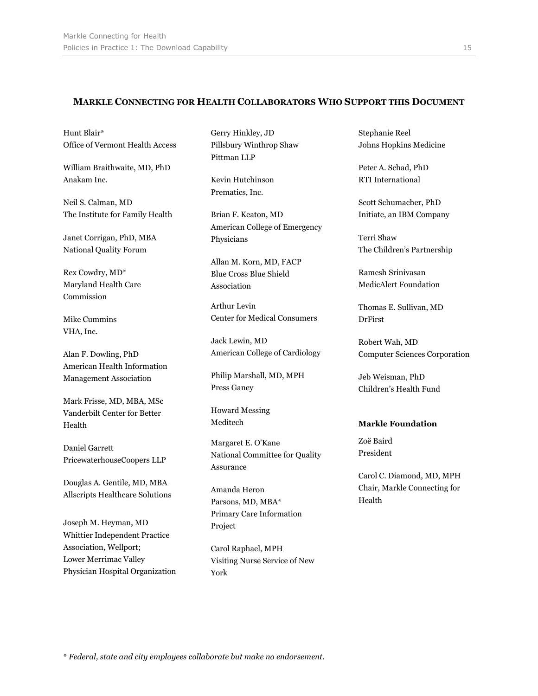#### **MARKLE CONNECTING FOR HEALTH COLLABORATORS WHO SUPPORT THIS DOCUMENT**

Hunt Blair\* Office of Vermont Health Access

William Braithwaite, MD, PhD Anakam Inc.

Neil S. Calman, MD The Institute for Family Health

Janet Corrigan, PhD, MBA National Quality Forum

Rex Cowdry, MD\* Maryland Health Care Commission

Mike Cummins VHA, Inc.

Alan F. Dowling, PhD American Health Information Management Association

Mark Frisse, MD, MBA, MSc Vanderbilt Center for Better Health

Daniel Garrett PricewaterhouseCoopers LLP

Douglas A. Gentile, MD, MBA Allscripts Healthcare Solutions

Joseph M. Heyman, MD Whittier Independent Practice Association, Wellport; Lower Merrimac Valley Physician Hospital Organization Gerry Hinkley, JD Pillsbury Winthrop Shaw Pittman LLP

Kevin Hutchinson Prematics, Inc.

Brian F. Keaton, MD American College of Emergency Physicians

Allan M. Korn, MD, FACP Blue Cross Blue Shield Association

Arthur Levin Center for Medical Consumers

Jack Lewin, MD American College of Cardiology

Philip Marshall, MD, MPH Press Ganey

Howard Messing Meditech

Margaret E. O'Kane National Committee for Quality Assurance

Amanda Heron Parsons, MD, MBA\* Primary Care Information Project

Carol Raphael, MPH Visiting Nurse Service of New York

Stephanie Reel Johns Hopkins Medicine

Peter A. Schad, PhD RTI International

Scott Schumacher, PhD Initiate, an IBM Company

Terri Shaw The Children's Partnership

Ramesh Srinivasan MedicAlert Foundation

Thomas E. Sullivan, MD DrFirst

Robert Wah, MD Computer Sciences Corporation

Jeb Weisman, PhD Children's Health Fund

#### **Markle Foundation**

Zoë Baird President

Carol C. Diamond, MD, MPH Chair, Markle Connecting for Health

\* *Federal, state and city employees collaborate but make no endorsement*.